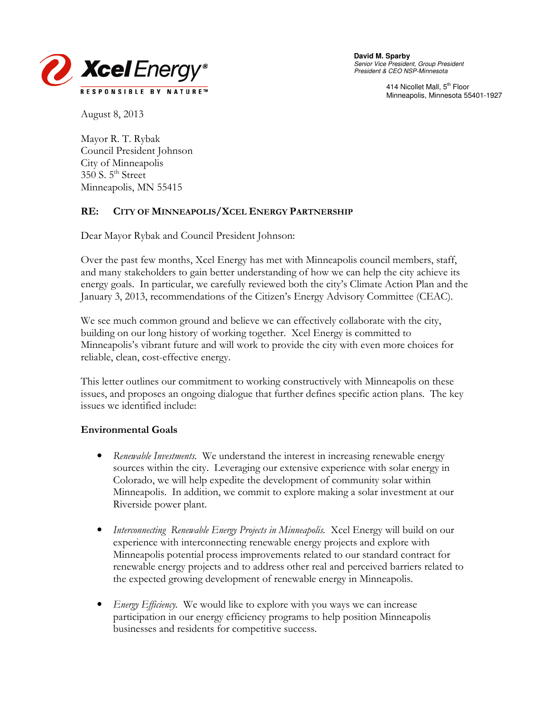

Senior Vice President, Group President President & CEO NSP-Minnesota

> 414 Nicollet Mall, 5<sup>th</sup> Floor Minneapolis, Minnesota 55401-1927

August 8, 2013

Mayor R. T. Rybak Council President Johnson City of Minneapolis  $350$  S.  $5<sup>th</sup>$  Street Minneapolis, MN 55415

### RE: CITY OF MINNEAPOLIS/XCEL ENERGY PARTNERSHIP

Dear Mayor Rybak and Council President Johnson:

Over the past few months, Xcel Energy has met with Minneapolis council members, staff, and many stakeholders to gain better understanding of how we can help the city achieve its energy goals. In particular, we carefully reviewed both the city's Climate Action Plan and the January 3, 2013, recommendations of the Citizen's Energy Advisory Committee (CEAC).

We see much common ground and believe we can effectively collaborate with the city, building on our long history of working together. Xcel Energy is committed to Minneapolis's vibrant future and will work to provide the city with even more choices for reliable, clean, cost-effective energy.

This letter outlines our commitment to working constructively with Minneapolis on these issues, and proposes an ongoing dialogue that further defines specific action plans. The key issues we identified include:

### Environmental Goals

- Renewable Investments. We understand the interest in increasing renewable energy sources within the city. Leveraging our extensive experience with solar energy in Colorado, we will help expedite the development of community solar within Minneapolis. In addition, we commit to explore making a solar investment at our Riverside power plant.
- Interconnecting Renewable Energy Projects in Minneapolis. Xcel Energy will build on our experience with interconnecting renewable energy projects and explore with Minneapolis potential process improvements related to our standard contract for renewable energy projects and to address other real and perceived barriers related to the expected growing development of renewable energy in Minneapolis.
- *Energy Efficiency*. We would like to explore with you ways we can increase participation in our energy efficiency programs to help position Minneapolis businesses and residents for competitive success.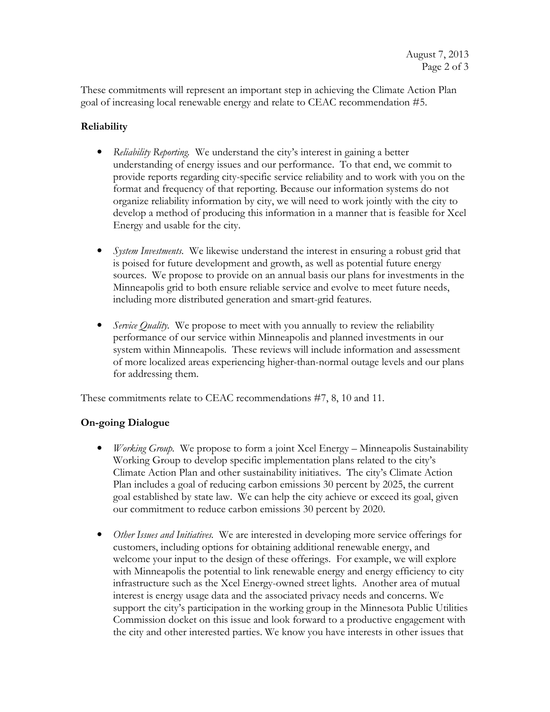These commitments will represent an important step in achieving the Climate Action Plan goal of increasing local renewable energy and relate to CEAC recommendation #5.

# Reliability

- Reliability Reporting. We understand the city's interest in gaining a better understanding of energy issues and our performance. To that end, we commit to provide reports regarding city-specific service reliability and to work with you on the format and frequency of that reporting. Because our information systems do not organize reliability information by city, we will need to work jointly with the city to develop a method of producing this information in a manner that is feasible for Xcel Energy and usable for the city.
- *System Investments*. We likewise understand the interest in ensuring a robust grid that is poised for future development and growth, as well as potential future energy sources. We propose to provide on an annual basis our plans for investments in the Minneapolis grid to both ensure reliable service and evolve to meet future needs, including more distributed generation and smart-grid features.
- Service Quality. We propose to meet with you annually to review the reliability performance of our service within Minneapolis and planned investments in our system within Minneapolis. These reviews will include information and assessment of more localized areas experiencing higher-than-normal outage levels and our plans for addressing them.

These commitments relate to CEAC recommendations #7, 8, 10 and 11.

## On-going Dialogue

- *Working Group.* We propose to form a joint Xcel Energy Minneapolis Sustainability Working Group to develop specific implementation plans related to the city's Climate Action Plan and other sustainability initiatives. The city's Climate Action Plan includes a goal of reducing carbon emissions 30 percent by 2025, the current goal established by state law. We can help the city achieve or exceed its goal, given our commitment to reduce carbon emissions 30 percent by 2020.
- Other Issues and Initiatives. We are interested in developing more service offerings for customers, including options for obtaining additional renewable energy, and welcome your input to the design of these offerings. For example, we will explore with Minneapolis the potential to link renewable energy and energy efficiency to city infrastructure such as the Xcel Energy-owned street lights. Another area of mutual interest is energy usage data and the associated privacy needs and concerns. We support the city's participation in the working group in the Minnesota Public Utilities Commission docket on this issue and look forward to a productive engagement with the city and other interested parties. We know you have interests in other issues that